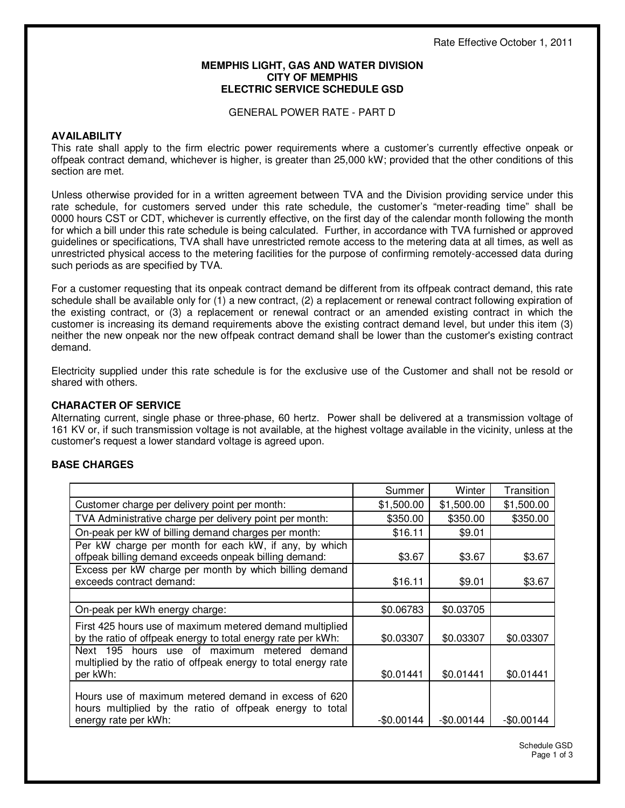#### **MEMPHIS LIGHT, GAS AND WATER DIVISION CITY OF MEMPHIS ELECTRIC SERVICE SCHEDULE GSD**

GENERAL POWER RATE - PART D

## **AVAILABILITY**

This rate shall apply to the firm electric power requirements where a customer's currently effective onpeak or offpeak contract demand, whichever is higher, is greater than 25,000 kW; provided that the other conditions of this section are met.

Unless otherwise provided for in a written agreement between TVA and the Division providing service under this rate schedule, for customers served under this rate schedule, the customer's "meter-reading time" shall be 0000 hours CST or CDT, whichever is currently effective, on the first day of the calendar month following the month for which a bill under this rate schedule is being calculated. Further, in accordance with TVA furnished or approved guidelines or specifications, TVA shall have unrestricted remote access to the metering data at all times, as well as unrestricted physical access to the metering facilities for the purpose of confirming remotely-accessed data during such periods as are specified by TVA.

For a customer requesting that its onpeak contract demand be different from its offpeak contract demand, this rate schedule shall be available only for (1) a new contract, (2) a replacement or renewal contract following expiration of the existing contract, or (3) a replacement or renewal contract or an amended existing contract in which the customer is increasing its demand requirements above the existing contract demand level, but under this item (3) neither the new onpeak nor the new offpeak contract demand shall be lower than the customer's existing contract demand.

Electricity supplied under this rate schedule is for the exclusive use of the Customer and shall not be resold or shared with others.

# **CHARACTER OF SERVICE**

Alternating current, single phase or three-phase, 60 hertz. Power shall be delivered at a transmission voltage of 161 KV or, if such transmission voltage is not available, at the highest voltage available in the vicinity, unless at the customer's request a lower standard voltage is agreed upon.

# **BASE CHARGES**

|                                                                                                                                          | Summer      | Winter      | Transition  |
|------------------------------------------------------------------------------------------------------------------------------------------|-------------|-------------|-------------|
| Customer charge per delivery point per month:                                                                                            | \$1,500.00  | \$1,500.00  | \$1,500.00  |
| TVA Administrative charge per delivery point per month:                                                                                  | \$350.00    | \$350.00    | \$350.00    |
| On-peak per kW of billing demand charges per month:                                                                                      | \$16.11     | \$9.01      |             |
| Per kW charge per month for each kW, if any, by which<br>offpeak billing demand exceeds onpeak billing demand:                           | \$3.67      | \$3.67      | \$3.67      |
| Excess per kW charge per month by which billing demand<br>exceeds contract demand:                                                       | \$16.11     | \$9.01      | \$3.67      |
|                                                                                                                                          |             |             |             |
| On-peak per kWh energy charge:                                                                                                           | \$0.06783   | \$0.03705   |             |
| First 425 hours use of maximum metered demand multiplied<br>by the ratio of offpeak energy to total energy rate per kWh:                 | \$0.03307   | \$0.03307   | \$0.03307   |
| Next 195 hours use of maximum metered demand<br>multiplied by the ratio of offpeak energy to total energy rate<br>per kWh:               | \$0.01441   | \$0.01441   | \$0.01441   |
| Hours use of maximum metered demand in excess of 620<br>hours multiplied by the ratio of offpeak energy to total<br>energy rate per kWh: | $-$0.00144$ | $-$0.00144$ | $-$0.00144$ |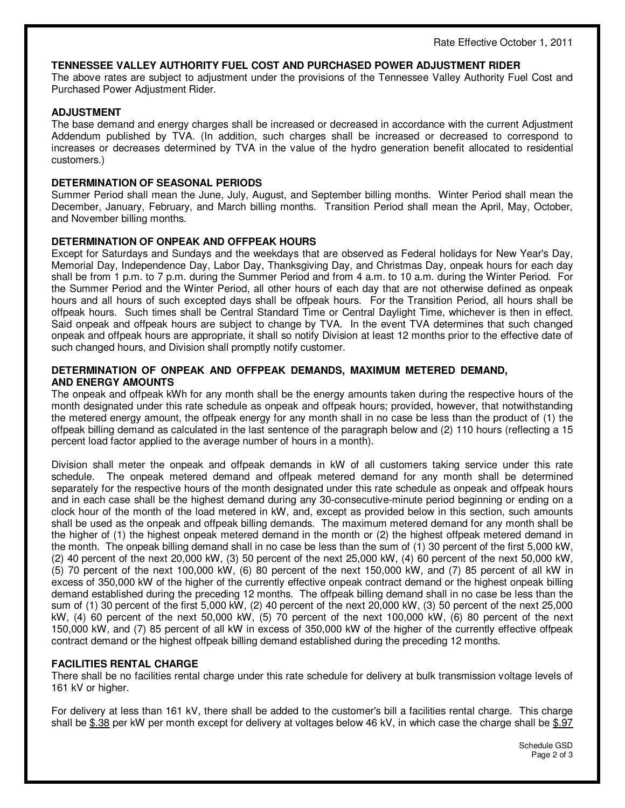#### **TENNESSEE VALLEY AUTHORITY FUEL COST AND PURCHASED POWER ADJUSTMENT RIDER**

The above rates are subject to adjustment under the provisions of the Tennessee Valley Authority Fuel Cost and Purchased Power Adjustment Rider.

## **ADJUSTMENT**

The base demand and energy charges shall be increased or decreased in accordance with the current Adjustment Addendum published by TVA. (In addition, such charges shall be increased or decreased to correspond to increases or decreases determined by TVA in the value of the hydro generation benefit allocated to residential customers.)

## **DETERMINATION OF SEASONAL PERIODS**

Summer Period shall mean the June, July, August, and September billing months. Winter Period shall mean the December, January, February, and March billing months. Transition Period shall mean the April, May, October, and November billing months.

## **DETERMINATION OF ONPEAK AND OFFPEAK HOURS**

Except for Saturdays and Sundays and the weekdays that are observed as Federal holidays for New Year's Day, Memorial Day, Independence Day, Labor Day, Thanksgiving Day, and Christmas Day, onpeak hours for each day shall be from 1 p.m. to 7 p.m. during the Summer Period and from 4 a.m. to 10 a.m. during the Winter Period. For the Summer Period and the Winter Period, all other hours of each day that are not otherwise defined as onpeak hours and all hours of such excepted days shall be offpeak hours. For the Transition Period, all hours shall be offpeak hours. Such times shall be Central Standard Time or Central Daylight Time, whichever is then in effect. Said onpeak and offpeak hours are subject to change by TVA. In the event TVA determines that such changed onpeak and offpeak hours are appropriate, it shall so notify Division at least 12 months prior to the effective date of such changed hours, and Division shall promptly notify customer.

#### **DETERMINATION OF ONPEAK AND OFFPEAK DEMANDS, MAXIMUM METERED DEMAND, AND ENERGY AMOUNTS**

The onpeak and offpeak kWh for any month shall be the energy amounts taken during the respective hours of the month designated under this rate schedule as onpeak and offpeak hours; provided, however, that notwithstanding the metered energy amount, the offpeak energy for any month shall in no case be less than the product of (1) the offpeak billing demand as calculated in the last sentence of the paragraph below and (2) 110 hours (reflecting a 15 percent load factor applied to the average number of hours in a month).

Division shall meter the onpeak and offpeak demands in kW of all customers taking service under this rate schedule. The onpeak metered demand and offpeak metered demand for any month shall be determined separately for the respective hours of the month designated under this rate schedule as onpeak and offpeak hours and in each case shall be the highest demand during any 30-consecutive-minute period beginning or ending on a clock hour of the month of the load metered in kW, and, except as provided below in this section, such amounts shall be used as the onpeak and offpeak billing demands. The maximum metered demand for any month shall be the higher of (1) the highest onpeak metered demand in the month or (2) the highest offpeak metered demand in the month. The onpeak billing demand shall in no case be less than the sum of (1) 30 percent of the first 5,000 kW, (2) 40 percent of the next 20,000 kW, (3) 50 percent of the next 25,000 kW, (4) 60 percent of the next 50,000 kW, (5) 70 percent of the next 100,000 kW, (6) 80 percent of the next 150,000 kW, and (7) 85 percent of all kW in excess of 350,000 kW of the higher of the currently effective onpeak contract demand or the highest onpeak billing demand established during the preceding 12 months. The offpeak billing demand shall in no case be less than the sum of (1) 30 percent of the first 5,000 kW, (2) 40 percent of the next 20,000 kW, (3) 50 percent of the next 25,000 kW, (4) 60 percent of the next 50,000 kW, (5) 70 percent of the next 100,000 kW, (6) 80 percent of the next 150,000 kW, and (7) 85 percent of all kW in excess of 350,000 kW of the higher of the currently effective offpeak contract demand or the highest offpeak billing demand established during the preceding 12 months.

#### **FACILITIES RENTAL CHARGE**

There shall be no facilities rental charge under this rate schedule for delivery at bulk transmission voltage levels of 161 kV or higher.

For delivery at less than 161 kV, there shall be added to the customer's bill a facilities rental charge. This charge shall be \$.38 per kW per month except for delivery at voltages below 46 kV, in which case the charge shall be \$.97